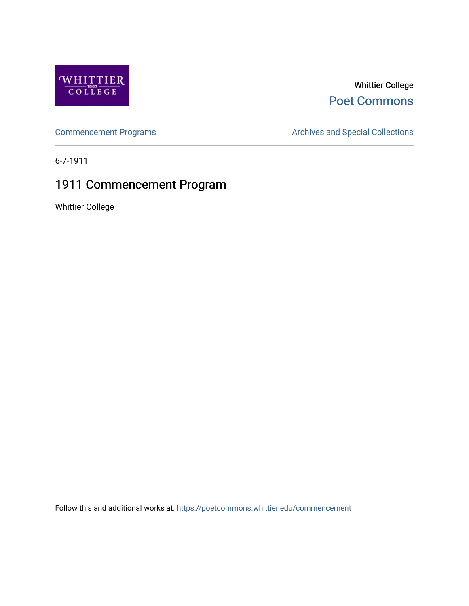

#### Whittier College [Poet Commons](https://poetcommons.whittier.edu/)

[Commencement Programs](https://poetcommons.whittier.edu/commencement) **Archives and Special Collections** Archives and Special Collections

6-7-1911

### 1911 Commencement Program

Whittier College

Follow this and additional works at: [https://poetcommons.whittier.edu/commencement](https://poetcommons.whittier.edu/commencement?utm_source=poetcommons.whittier.edu%2Fcommencement%2F1&utm_medium=PDF&utm_campaign=PDFCoverPages)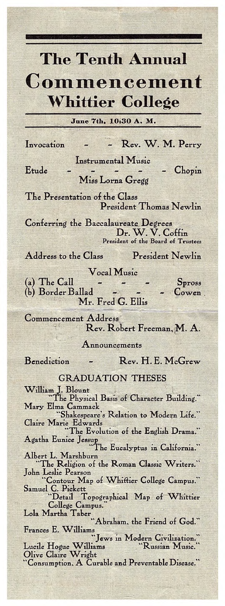## The Tenth Annual

# Commencement Whittier College

**June** 7th. 10:30 A. M.

Invocation - Rev. W. M. Perry

Etude

Instrumental Music Miss Lorna Gregg **Chopin** 

The Presentation of the Class President Thomas Newlin

Conferring the Baccalaureate Degrees Dr. W. V. Coffin President of the Board of Trustees

Address to the Class President Newlin

Vocal Music

(a) The Call  $\begin{array}{ccc} - & - & - & \text{Spross} \\ \text{(b) Border Ballad} & - & - & - & \text{Cower} \end{array}$ (b) Border Ballad Mr. Fred G. Ellis

Commencement Address Rev. Robert Freeman, M. A.

Announcements

Benediction - Rev. H. E. McGrew

#### GRADUATION THESES

William J. Blount The Physical Basis of Character Building." Mary Elma Cammack "Shakespeare's Relation to Modern Life." Claire Marie Edwards I he Evolution of the English Drama. Agatha Eunice Jessup I he Eucalyptus in California. Albert L. Marshburn The Religion of the Roman Classic Writers. John Leslie Pearson "Contour Map of Whittier College Campus." Samuel C. Pickett "Detail Topographical Map of Whittier College Campus. Lola Martha Laber. the Friend of God. Frances E. Williams "Jews in Modern Civilization. Lucile Hogue Williams "Russian Music." Olive Claire Wright

Consumption, A Curable and Preventable Disease.'